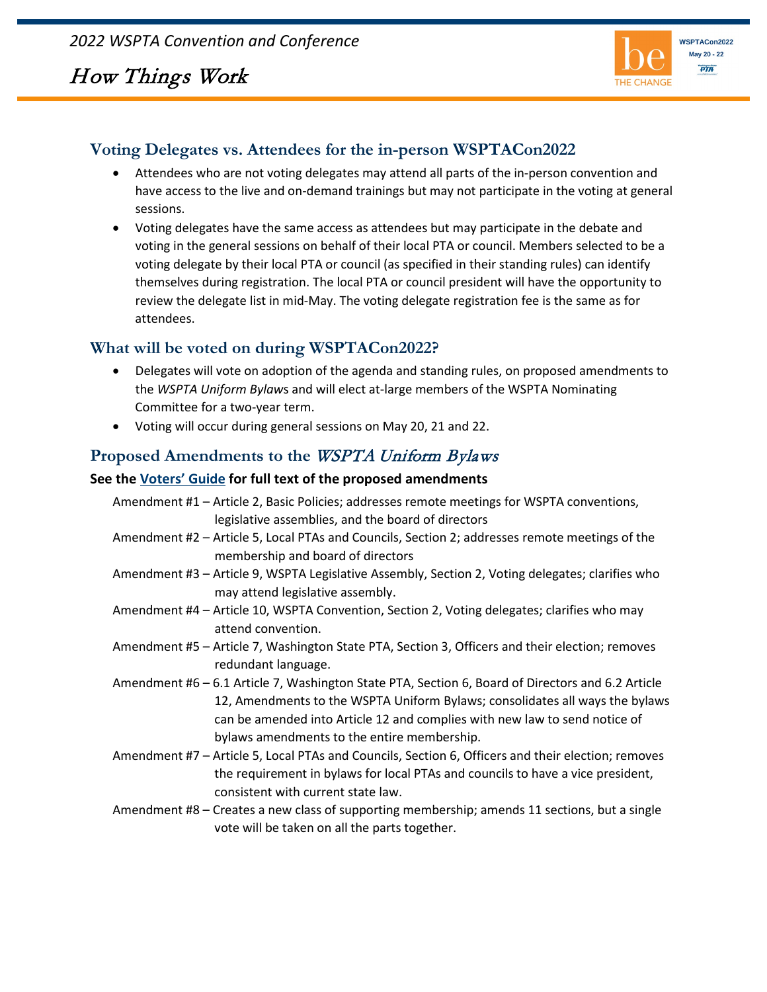



### **Voting Delegates vs. Attendees for the in-person WSPTACon2022**

- Attendees who are not voting delegates may attend all parts of the in-person convention and have access to the live and on-demand trainings but may not participate in the voting at general sessions.
- Voting delegates have the same access as attendees but may participate in the debate and voting in the general sessions on behalf of their local PTA or council. Members selected to be a voting delegate by their local PTA or council (as specified in their standing rules) can identify themselves during registration. The local PTA or council president will have the opportunity to review the delegate list in mid-May. The voting delegate registration fee is the same as for attendees.

### **What will be voted on during WSPTACon2022?**

- Delegates will vote on adoption of the agenda and standing rules, on proposed amendments to the *WSPTA Uniform Bylaw*s and will elect at-large members of the WSPTA Nominating Committee for a two-year term.
- Voting will occur during general sessions on May 20, 21 and 22.

### **Proposed Amendments to the** WSPTA Uniform Bylaws

#### **See the [Voters' Guide](https://www.wastatepta.org/wp-content/uploads/2022/03/2022-Convention-Proposed-Bylaws-Amendments.pdf) for full text of the proposed amendments**

- Amendment #1 Article 2, Basic Policies; addresses remote meetings for WSPTA conventions, legislative assemblies, and the board of directors
- Amendment #2 Article 5, Local PTAs and Councils, Section 2; addresses remote meetings of the membership and board of directors
- Amendment #3 Article 9, WSPTA Legislative Assembly, Section 2, Voting delegates; clarifies who may attend legislative assembly.
- Amendment #4 Article 10, WSPTA Convention, Section 2, Voting delegates; clarifies who may attend convention.
- Amendment #5 Article 7, Washington State PTA, Section 3, Officers and their election; removes redundant language.
- Amendment #6 6.1 Article 7, Washington State PTA, Section 6, Board of Directors and 6.2 Article 12, Amendments to the WSPTA Uniform Bylaws; consolidates all ways the bylaws can be amended into Article 12 and complies with new law to send notice of bylaws amendments to the entire membership.
- Amendment #7 Article 5, Local PTAs and Councils, Section 6, Officers and their election; removes the requirement in bylaws for local PTAs and councils to have a vice president, consistent with current state law.
- Amendment #8 Creates a new class of supporting membership; amends 11 sections, but a single vote will be taken on all the parts together.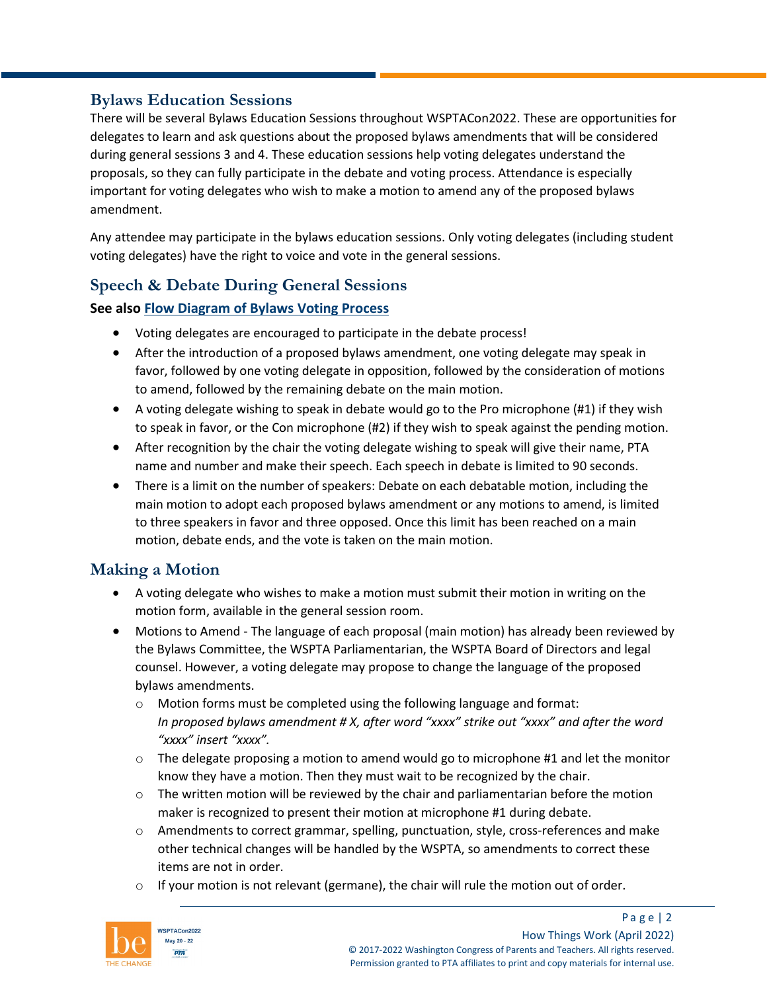### **Bylaws Education Sessions**

There will be several Bylaws Education Sessions throughout WSPTACon2022. These are opportunities for delegates to learn and ask questions about the proposed bylaws amendments that will be considered during general sessions 3 and 4. These education sessions help voting delegates understand the proposals, so they can fully participate in the debate and voting process. Attendance is especially important for voting delegates who wish to make a motion to amend any of the proposed bylaws amendment.

Any attendee may participate in the bylaws education sessions. Only voting delegates (including student voting delegates) have the right to voice and vote in the general sessions.

## **Speech & Debate During General Sessions**

#### **See also [Flow Diagram of Bylaws Voting Process](https://www.wastatepta.org/wp-content/uploads/2022/04/2022-Flow-Diagram-of-Bylaws-Voting-Process-April-2022.pdf)**

- Voting delegates are encouraged to participate in the debate process!
- After the introduction of a proposed bylaws amendment, one voting delegate may speak in favor, followed by one voting delegate in opposition, followed by the consideration of motions to amend, followed by the remaining debate on the main motion.
- A voting delegate wishing to speak in debate would go to the Pro microphone (#1) if they wish to speak in favor, or the Con microphone (#2) if they wish to speak against the pending motion.
- After recognition by the chair the voting delegate wishing to speak will give their name, PTA name and number and make their speech. Each speech in debate is limited to 90 seconds.
- There is a limit on the number of speakers: Debate on each debatable motion, including the main motion to adopt each proposed bylaws amendment or any motions to amend, is limited to three speakers in favor and three opposed. Once this limit has been reached on a main motion, debate ends, and the vote is taken on the main motion.

# **Making a Motion**

- A voting delegate who wishes to make a motion must submit their motion in writing on the motion form, available in the general session room.
- Motions to Amend The language of each proposal (main motion) has already been reviewed by the Bylaws Committee, the WSPTA Parliamentarian, the WSPTA Board of Directors and legal counsel. However, a voting delegate may propose to change the language of the proposed bylaws amendments.
	- $\circ$  Motion forms must be completed using the following language and format: *In proposed bylaws amendment # X, after word "xxxx" strike out "xxxx" and after the word "xxxx" insert "xxxx".*
	- $\circ$  The delegate proposing a motion to amend would go to microphone #1 and let the monitor know they have a motion. Then they must wait to be recognized by the chair.
	- $\circ$  The written motion will be reviewed by the chair and parliamentarian before the motion maker is recognized to present their motion at microphone #1 during debate.
	- o Amendments to correct grammar, spelling, punctuation, style, cross-references and make other technical changes will be handled by the WSPTA, so amendments to correct these items are not in order.
	- $\circ$  If your motion is not relevant (germane), the chair will rule the motion out of order.